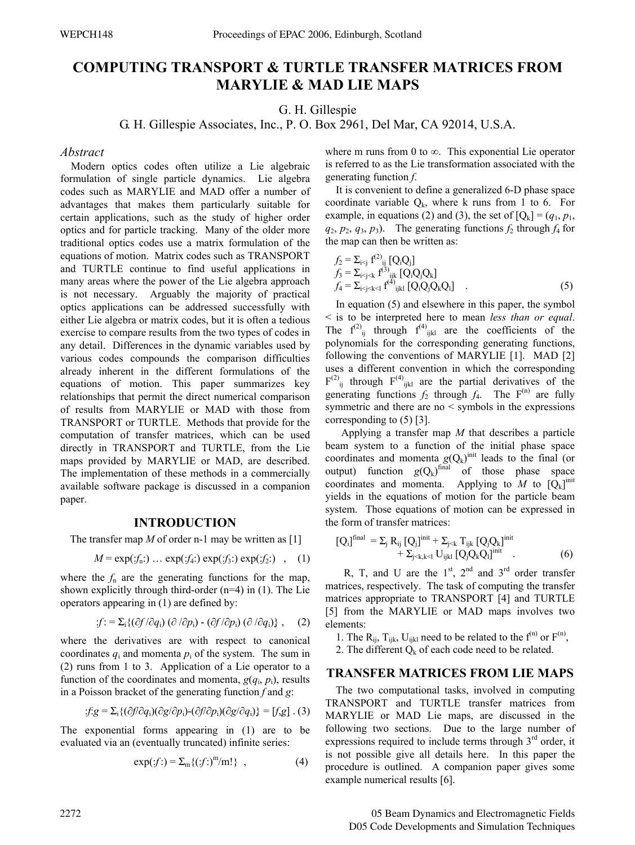# **COMPUTING TRANSPORT & TURTLE TRANSFER MATRICES FROM MARYLIE & MAD LIE MAPS**

G. H. Gillespie

G. H. Gillespie Associates, Inc., P. O. Box 2961, Del Mar, CA 92014, U.S.A.

## *Abstract*

Modern optics codes often utilize a Lie algebraic formulation of single particle dynamics. Lie algebra codes such as MARYLIE and MAD offer a number of advantages that makes them particularly suitable for certain applications, such as the study of higher order optics and for particle tracking. Many of the older more traditional optics codes use a matrix formulation of the equations of motion. Matrix codes such as TRANSPORT and TURTLE continue to find useful applications in many areas where the power of the Lie algebra approach is not necessary. Arguably the majority of practical optics applications can be addressed successfully with either Lie algebra or matrix codes, but it is often a tedious exercise to compare results from the two types of codes in any detail. Differences in the dynamic variables used by various codes compounds the comparison difficulties already inherent in the different formulations of the equations of motion. This paper summarizes key relationships that permit the direct numerical comparison of results from MARYLIE or MAD with those from TRANSPORT or TURTLE. Methods that provide for the computation of transfer matrices, which can be used directly in TRANSPORT and TURTLE, from the Lie maps provided by MARYLIE or MAD, are described. The implementation of these methods in a commercially available software package is discussed in a companion paper.

## **INTRODUCTION**

The transfer map *M* of order n-1 may be written as [1]

$$
M = \exp(jf_n:) \dots \exp(j4:) \exp(j5:) \exp(j5:) \quad , \quad (1)
$$

where the  $f_n$  are the generating functions for the map, shown explicitly through third-order (n=4) in (1). The Lie operators appearing in (1) are defined by:

$$
f: = \sum_i \{ (\partial f / \partial q_i) \left( \partial / \partial p_i \right) - (\partial f / \partial p_i) \left( \partial / \partial q_i \right) \}, \quad (2)
$$

where the derivatives are with respect to canonical coordinates  $q_i$  and momenta  $p_i$  of the system. The sum in (2) runs from 1 to 3. Application of a Lie operator to a function of the coordinates and momenta,  $g(q_i, p_i)$ , results in a Poisson bracket of the generating function *f* and *g*:

$$
f.g = \sum_i \{ (\partial f/\partial q_i)(\partial g/\partial p_i) - (\partial f/\partial p_i)(\partial g/\partial q_i) \} = [f,g] \ . \ (3)
$$

The exponential forms appearing in (1) are to be evaluated via an (eventually truncated) infinite series:

$$
\exp(jf) = \sum_{m} \{(f!)^{m}/m!\}, \qquad (4)
$$

where m runs from 0 to  $\infty$ . This exponential Lie operator is referred to as the Lie transformation associated with the generating function *f*.

It is convenient to define a generalized 6-D phase space coordinate variable  $Q_k$ , where k runs from 1 to 6. For example, in equations (2) and (3), the set of  $[Q_k] = (q_1, p_1,$  $q_2, p_2, q_3, p_3$ ). The generating functions  $f_2$  through  $f_4$  for the map can then be written as:

$$
f_2 = \sum_{i < j} f^{(2)}_{ij} [Q_i Q_j]
$$
  
\n
$$
f_3 = \sum_{i < j < k} f^{(3)}_{ijk} [Q_i Q_j Q_k]
$$
  
\n
$$
f_4 = \sum_{i < j < k < 1} f^{(4)}_{ijk} [Q_i Q_j Q_k Q_l]
$$
 (5)

In equation (5) and elsewhere in this paper, the symbol < is to be interpreted here to mean *less than or equal*. The  $f^{(2)}_{ij}$  through  $f^{(4)}_{ijkl}$  are the coefficients of the polynomials for the corresponding generating functions, following the conventions of MARYLIE [1]. MAD [2] uses a different convention in which the corresponding  $F^{(2)}_{ij}$  through  $F^{(4)}_{ijkl}$  are the partial derivatives of the generating functions  $f_2$  through  $f_4$ . The F<sup>(n)</sup> are fully symmetric and there are no < symbols in the expressions corresponding to (5) [3].

 Applying a transfer map *M* that describes a particle beam system to a function of the initial phase space coordinates and momenta  $g(Q_k)$ <sup>init</sup> leads to the final (or output) function  $g(Q_k)$ <sup>final</sup> of those phase space coordinates and momenta. Applying to  $M$  to  $[Q_k]$ <sup>init</sup> yields in the equations of motion for the particle beam system. Those equations of motion can be expressed in the form of transfer matrices:

$$
[Q_i]^{final} = \Sigma_j R_{ij} [Q_j]^{init} + \Sigma_{j < k} T_{ijk} [Q_j Q_k]^{init} + \Sigma_{j < k, k < l} U_{ijkl} [Q_j Q_k Q_l]^{init} . \tag{6}
$$

R, T, and U are the  $1<sup>st</sup>$ ,  $2<sup>nd</sup>$  and  $3<sup>rd</sup>$  order transfer matrices, respectively. The task of computing the transfer matrices appropriate to TRANSPORT [4] and TURTLE [5] from the MARYLIE or MAD maps involves two elements:

1. The  $R_{ij}$ ,  $T_{ijk}$ ,  $U_{ijkl}$  need to be related to the  $f^{(n)}$  or  $F^{(n)}$ ,

2. The different  $Q_k$  of each code need to be related.

## **TRANSFER MATRICES FROM LIE MAPS**

The two computational tasks, involved in computing TRANSPORT and TURTLE transfer matrices from MARYLIE or MAD Lie maps, are discussed in the following two sections. Due to the large number of expressions required to include terms through  $3<sup>rd</sup>$  order, it is not possible give all details here. In this paper the procedure is outlined. A companion paper gives some example numerical results [6].

2272 05 Beam Dynamics and Electromagnetic Fields D05 Code Developments and Simulation Techniques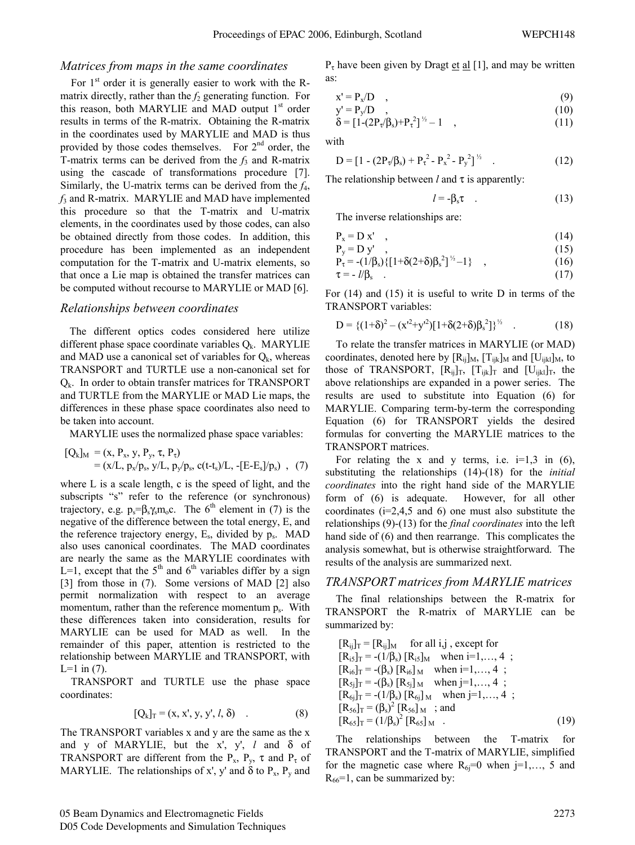#### *Matrices from maps in the same coordinates*

For  $1<sup>st</sup>$  order it is generally easier to work with the Rmatrix directly, rather than the  $f_2$  generating function. For this reason, both MARYLIE and MAD output 1<sup>st</sup> order results in terms of the R-matrix. Obtaining the R-matrix in the coordinates used by MARYLIE and MAD is thus provided by those codes themselves. For  $2<sup>nd</sup>$  order, the T-matrix terms can be derived from the *f*3 and R-matrix using the cascade of transformations procedure [7]. Similarly, the U-matrix terms can be derived from the *f*4, *f*3 and R-matrix. MARYLIE and MAD have implemented this procedure so that the T-matrix and U-matrix elements, in the coordinates used by those codes, can also be obtained directly from those codes. In addition, this procedure has been implemented as an independent computation for the T-matrix and U-matrix elements, so that once a Lie map is obtained the transfer matrices can be computed without recourse to MARYLIE or MAD [6].

#### *Relationships between coordinates*

The different optics codes considered here utilize different phase space coordinate variables  $Q_k$ . MARYLIE and MAD use a canonical set of variables for  $Q_k$ , whereas TRANSPORT and TURTLE use a non-canonical set for  $Q_k$ . In order to obtain transfer matrices for TRANSPORT and TURTLE from the MARYLIE or MAD Lie maps, the differences in these phase space coordinates also need to be taken into account.

MARYLIE uses the normalized phase space variables:

$$
[Q_k]_M = (x, P_x, y, P_y, \tau, P_\tau)
$$
  
= (x/L, p\_x/p\_s, y/L, p\_y/p\_s, c(t-t\_s)/L, -[E-E\_s]/p\_s) , (7)

where L is a scale length, c is the speed of light, and the subscripts "s" refer to the reference (or synchronous) trajectory, e.g.  $p_s = \beta_s \gamma_s m_0 c$ . The 6<sup>th</sup> element in (7) is the negative of the difference between the total energy, E, and the reference trajectory energy,  $E_s$ , divided by  $p_s$ . MAD also uses canonical coordinates. The MAD coordinates are nearly the same as the MARYLIE coordinates with L=1, except that the  $5<sup>th</sup>$  and  $6<sup>th</sup>$  variables differ by a sign [3] from those in (7). Some versions of MAD [2] also permit normalization with respect to an average momentum, rather than the reference momentum  $p_s$ . With these differences taken into consideration, results for MARYLIE can be used for MAD as well. In the remainder of this paper, attention is restricted to the relationship between MARYLIE and TRANSPORT, with  $L=1$  in (7).

TRANSPORT and TURTLE use the phase space coordinates:

$$
[Q_k]_T = (x, x', y, y', l, \delta) \quad . \tag{8}
$$

The TRANSPORT variables x and y are the same as the x and y of MARYLIE, but the x', y', *l* and δ of TRANSPORT are different from the  $P_x$ ,  $P_y$ ,  $\tau$  and  $P_{\tau}$  of MARYLIE. The relationships of x', y' and  $\delta$  to P<sub>x</sub>, P<sub>y</sub> and  $P_{\tau}$  have been given by Dragt et al [1], and may be written as:

$$
x' = P_x/D \quad , \tag{9}
$$

$$
y' = P_y/D \quad , \tag{10}
$$

$$
\delta = [1 - (2P_{\tau}/\beta_{s}) + P_{\tau}^{2}]^{\frac{1}{2}} - 1 \quad , \tag{11}
$$

with

$$
D = [1 - (2P_{\tau}/\beta_s) + P_{\tau}^2 - P_x^2 - P_y^2]^{1/2}
$$
 (12)

The relationship between *l* and τ is apparently:

$$
l = -\beta_s \tau \quad . \tag{13}
$$

The inverse relationships are:

$$
P_x = D x' \quad , \tag{14}
$$

$$
P_{y} = D y' , \t(15)P_{\tau} = -(1/\beta_{s}) \{ [1 + \delta(2+\delta)\beta_{s}^{2}]^{\frac{1}{2}} - 1 \} , \t(16)
$$

$$
\tau = -l/\beta_s
$$
 (17)

For (14) and (15) it is useful to write D in terms of the TRANSPORT variables:

$$
D = \{(1+\delta)^2 - (x^{12} + y^{12})[1+\delta(2+\delta)\beta_s^2]\}^{\frac{1}{2}}
$$
 (18)

To relate the transfer matrices in MARYLIE (or MAD) coordinates, denoted here by  $[R_{ij}]_M$ ,  $[T_{ijk}]_M$  and  $[U_{ijkl}]_M$ , to those of TRANSPORT,  $[R_{ij}]_T$ ,  $[T_{ijk}]_T$  and  $[U_{ijkl}]_T$ , the above relationships are expanded in a power series. The results are used to substitute into Equation (6) for MARYLIE. Comparing term-by-term the corresponding Equation (6) for TRANSPORT yields the desired formulas for converting the MARYLIE matrices to the TRANSPORT matrices.

For relating the x and y terms, i.e.  $i=1,3$  in (6), substituting the relationships (14)-(18) for the *initial coordinates* into the right hand side of the MARYLIE form of (6) is adequate. However, for all other coordinates  $(i=2,4,5 \text{ and } 6)$  one must also substitute the relationships (9)-(13) for the *final coordinates* into the left hand side of (6) and then rearrange. This complicates the analysis somewhat, but is otherwise straightforward. The results of the analysis are summarized next.

#### *TRANSPORT matrices from MARYLIE matrices*

The final relationships between the R-matrix for TRANSPORT the R-matrix of MARYLIE can be summarized by:

$$
[R_{ij}]_T = [R_{ij}]_M \text{ for all } i, j \text{ except for}
$$
  
\n
$$
[R_{i5}]_T = -(1/\beta_s) [R_{i5}]_M \text{ when } i=1,..., 4 ;
$$
  
\n
$$
[R_{i6}]_T = -(\beta_s) [R_{i6}]_M \text{ when } i=1,..., 4 ;
$$
  
\n
$$
[R_{5j}]_T = -(\beta_s) [R_{5j}]_M \text{ when } j=1,..., 4 ;
$$
  
\n
$$
[R_{6j}]_T = -(1/\beta_s) [R_{6j}]_M \text{ when } j=1,..., 4 ;
$$
  
\n
$$
[R_{56}]_T = (\beta_s)^2 [R_{56}]_M ; \text{ and}
$$
  
\n
$$
[R_{65}]_T = (1/\beta_s)^2 [R_{65}]_M .
$$
  
\n(19)

The relationships between the T-matrix for TRANSPORT and the T-matrix of MARYLIE, simplified for the magnetic case where  $R_{6i}=0$  when j=1,..., 5 and  $R_{66}$ =1, can be summarized by: